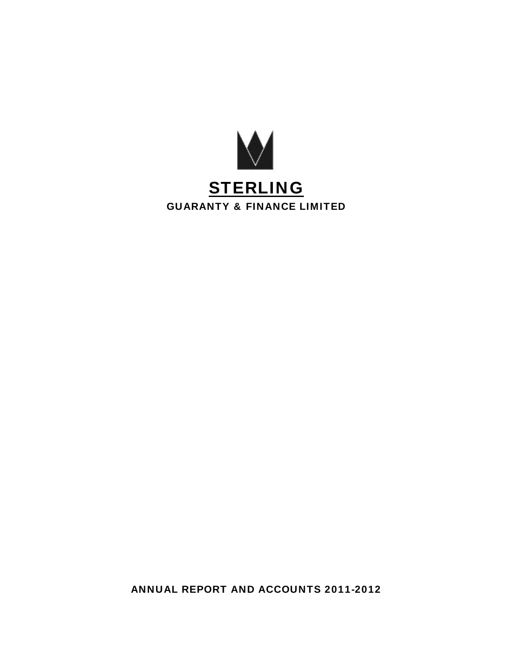

ANNUAL REPORT AND ACCOUNTS 2011-2012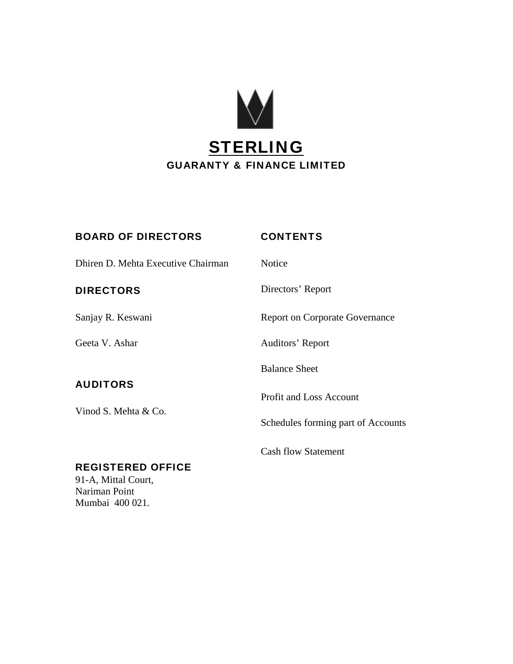

# BOARD OF DIRECTORS CONTENTS

Dhiren D. Mehta Executive Chairman Notice

# **AUDITORS**

Vinod S. Mehta & Co.

DIRECTORS Directors' Report Sanjay R. Keswani Report on Corporate Governance Geeta V. Ashar Auditors' Report Balance Sheet

Profit and Loss Account

Cash flow Statement

Schedules forming part of Accounts

# REGISTERED OFFICE

91-A, Mittal Court, Nariman Point Mumbai 400 021.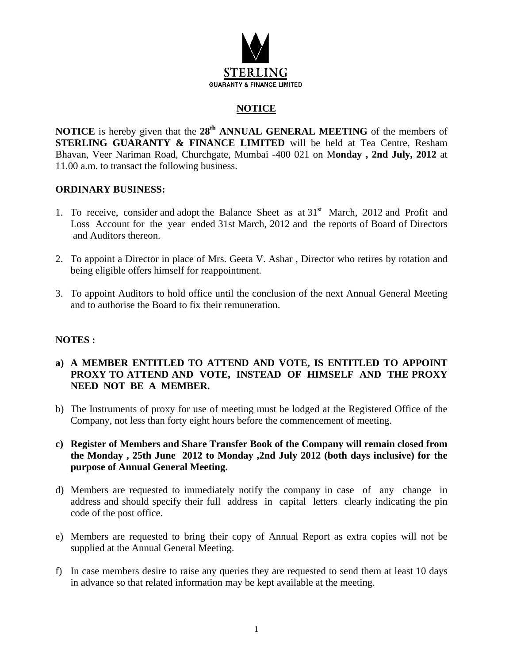

# **NOTICE**

**NOTICE** is hereby given that the 28<sup>th</sup> ANNUAL GENERAL MEETING of the members of **STERLING GUARANTY & FINANCE LIMITED** will be held at Tea Centre, Resham Bhavan, Veer Nariman Road, Churchgate, Mumbai -400 021 on M**onday , 2nd July, 2012** at 11.00 a.m. to transact the following business.

## **ORDINARY BUSINESS:**

- 1. To receive, consider and adopt the Balance Sheet as at  $31<sup>st</sup>$  March, 2012 and Profit and Loss Account for the year ended 31st March, 2012 and the reports of Board of Directors and Auditors thereon.
- 2. To appoint a Director in place of Mrs. Geeta V. Ashar , Director who retires by rotation and being eligible offers himself for reappointment.
- 3. To appoint Auditors to hold office until the conclusion of the next Annual General Meeting and to authorise the Board to fix their remuneration.

## **NOTES :**

- **a) A MEMBER ENTITLED TO ATTEND AND VOTE, IS ENTITLED TO APPOINT PROXY TO ATTEND AND VOTE, INSTEAD OF HIMSELF AND THE PROXY NEED NOT BE A MEMBER.**
- b) The Instruments of proxy for use of meeting must be lodged at the Registered Office of the Company, not less than forty eight hours before the commencement of meeting.
- **c) Register of Members and Share Transfer Book of the Company will remain closed from the Monday , 25th June 2012 to Monday ,2nd July 2012 (both days inclusive) for the purpose of Annual General Meeting.**
- d) Members are requested to immediately notify the company in case of any change in address and should specify their full address in capital letters clearly indicating the pin code of the post office.
- e) Members are requested to bring their copy of Annual Report as extra copies will not be supplied at the Annual General Meeting.
- f) In case members desire to raise any queries they are requested to send them at least 10 days in advance so that related information may be kept available at the meeting.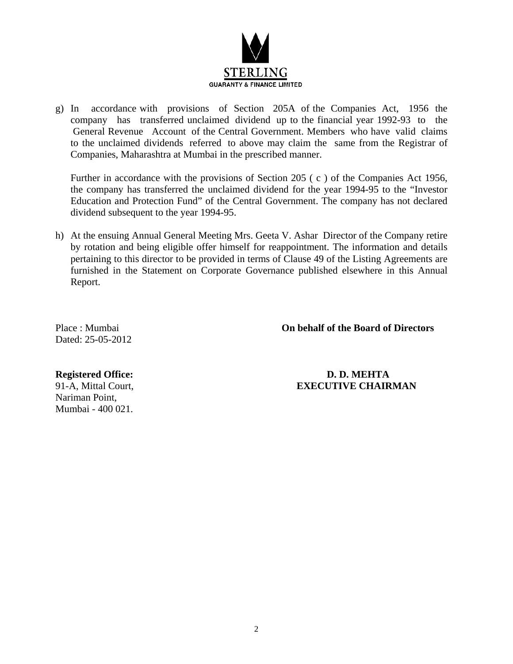

g) In accordance with provisions of Section 205A of the Companies Act, 1956 the company has transferred unclaimed dividend up to the financial year 1992-93 to the General Revenue Account of the Central Government. Members who have valid claims to the unclaimed dividends referred to above may claim the same from the Registrar of Companies, Maharashtra at Mumbai in the prescribed manner.

Further in accordance with the provisions of Section 205 ( c ) of the Companies Act 1956, the company has transferred the unclaimed dividend for the year 1994-95 to the "Investor Education and Protection Fund" of the Central Government. The company has not declared dividend subsequent to the year 1994-95.

h) At the ensuing Annual General Meeting Mrs. Geeta V. Ashar Director of the Company retire by rotation and being eligible offer himself for reappointment. The information and details pertaining to this director to be provided in terms of Clause 49 of the Listing Agreements are furnished in the Statement on Corporate Governance published elsewhere in this Annual Report.

Dated: 25-05-2012

Place : Mumbai **On behalf of the Board of Directors** 

Nariman Point, Mumbai - 400 021.

**Registered Office: D. D. MEHTA**  91-A, Mittal Court, **EXECUTIVE CHAIRMAN**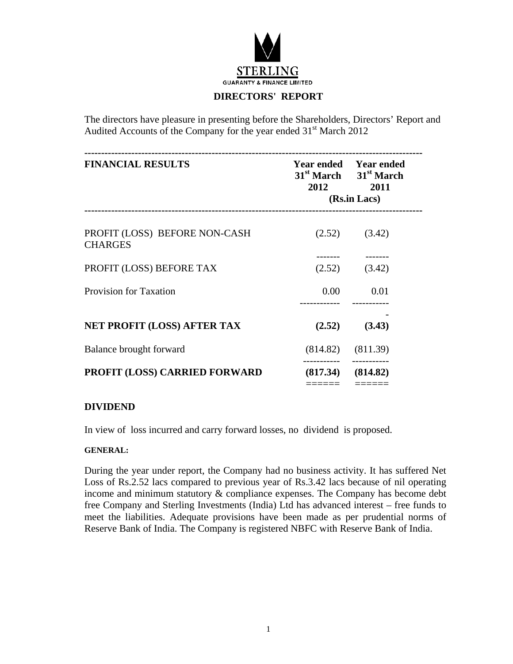

# **DIRECTORS' REPORT**

The directors have pleasure in presenting before the Shareholders, Directors' Report and Audited Accounts of the Company for the year ended 31<sup>st</sup> March 2012

| <b>FINANCIAL RESULTS</b>                        | 2012                  | Year ended Year ended<br>31 <sup>st</sup> March 31 <sup>st</sup> March<br>2011<br>(Rs.in Lacs) |
|-------------------------------------------------|-----------------------|------------------------------------------------------------------------------------------------|
| PROFIT (LOSS) BEFORE NON-CASH<br><b>CHARGES</b> |                       | $(2.52)$ $(3.42)$                                                                              |
| PROFIT (LOSS) BEFORE TAX                        |                       | $(2.52)$ $(3.42)$                                                                              |
| <b>Provision for Taxation</b>                   |                       | $0.00$ $0.01$                                                                                  |
| <b>NET PROFIT (LOSS) AFTER TAX</b>              | (2.52)                | (3.43)                                                                                         |
| Balance brought forward                         |                       | $(814.82)$ $(811.39)$                                                                          |
| <b>PROFIT (LOSS) CARRIED FORWARD</b>            | $(817.34)$ $(814.82)$ |                                                                                                |
|                                                 |                       |                                                                                                |

## **DIVIDEND**

In view of loss incurred and carry forward losses, no dividend is proposed.

#### **GENERAL:**

During the year under report, the Company had no business activity. It has suffered Net Loss of Rs.2.52 lacs compared to previous year of Rs.3.42 lacs because of nil operating income and minimum statutory & compliance expenses. The Company has become debt free Company and Sterling Investments (India) Ltd has advanced interest – free funds to meet the liabilities. Adequate provisions have been made as per prudential norms of Reserve Bank of India. The Company is registered NBFC with Reserve Bank of India.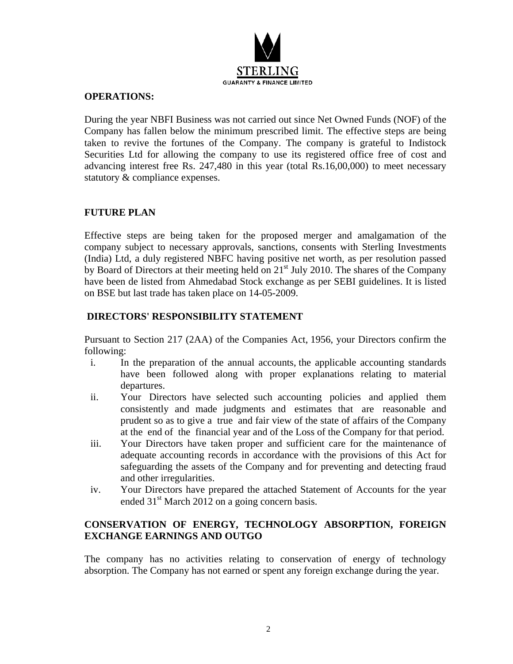

## **OPERATIONS:**

During the year NBFI Business was not carried out since Net Owned Funds (NOF) of the Company has fallen below the minimum prescribed limit. The effective steps are being taken to revive the fortunes of the Company. The company is grateful to Indistock Securities Ltd for allowing the company to use its registered office free of cost and advancing interest free Rs. 247,480 in this year (total Rs.16,00,000) to meet necessary statutory & compliance expenses.

# **FUTURE PLAN**

Effective steps are being taken for the proposed merger and amalgamation of the company subject to necessary approvals, sanctions, consents with Sterling Investments (India) Ltd, a duly registered NBFC having positive net worth, as per resolution passed by Board of Directors at their meeting held on 21<sup>st</sup> July 2010. The shares of the Company have been de listed from Ahmedabad Stock exchange as per SEBI guidelines. It is listed on BSE but last trade has taken place on 14-05-2009.

# **DIRECTORS' RESPONSIBILITY STATEMENT**

Pursuant to Section 217 (2AA) of the Companies Act, 1956, your Directors confirm the following:

- i. In the preparation of the annual accounts, the applicable accounting standards have been followed along with proper explanations relating to material departures.
- ii. Your Directors have selected such accounting policies and applied them consistently and made judgments and estimates that are reasonable and prudent so as to give a true and fair view of the state of affairs of the Company at the end of the financial year and of the Loss of the Company for that period.
- iii. Your Directors have taken proper and sufficient care for the maintenance of adequate accounting records in accordance with the provisions of this Act for safeguarding the assets of the Company and for preventing and detecting fraud and other irregularities.
- iv. Your Directors have prepared the attached Statement of Accounts for the year ended  $31<sup>st</sup>$  March 2012 on a going concern basis.

# **CONSERVATION OF ENERGY, TECHNOLOGY ABSORPTION, FOREIGN EXCHANGE EARNINGS AND OUTGO**

The company has no activities relating to conservation of energy of technology absorption. The Company has not earned or spent any foreign exchange during the year.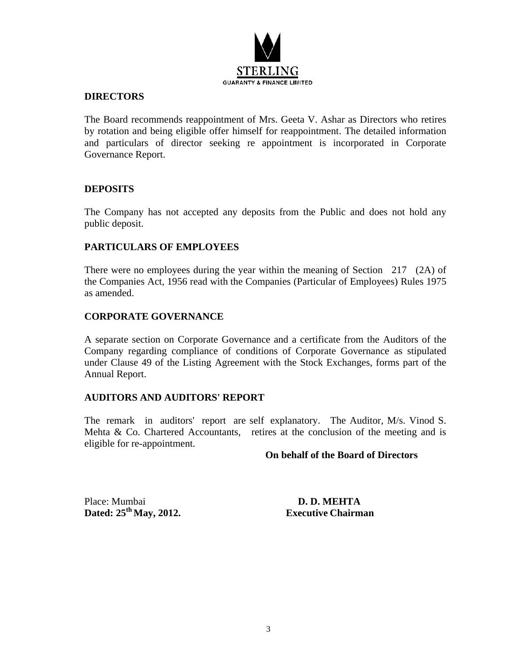

# **DIRECTORS**

The Board recommends reappointment of Mrs. Geeta V. Ashar as Directors who retires by rotation and being eligible offer himself for reappointment. The detailed information and particulars of director seeking re appointment is incorporated in Corporate Governance Report.

# **DEPOSITS**

The Company has not accepted any deposits from the Public and does not hold any public deposit.

## **PARTICULARS OF EMPLOYEES**

There were no employees during the year within the meaning of Section 217 (2A) of the Companies Act, 1956 read with the Companies (Particular of Employees) Rules 1975 as amended.

## **CORPORATE GOVERNANCE**

A separate section on Corporate Governance and a certificate from the Auditors of the Company regarding compliance of conditions of Corporate Governance as stipulated under Clause 49 of the Listing Agreement with the Stock Exchanges, forms part of the Annual Report.

## **AUDITORS AND AUDITORS' REPORT**

The remark in auditors' report are self explanatory. The Auditor, M/s. Vinod S. Mehta  $\&$  Co. Chartered Accountants, retires at the conclusion of the meeting and is eligible for re-appointment.

#### **On behalf of the Board of Directors**

Place: Mumbai **D. D. MEHTA Dated: 25th May, 2012. Executive Chairman**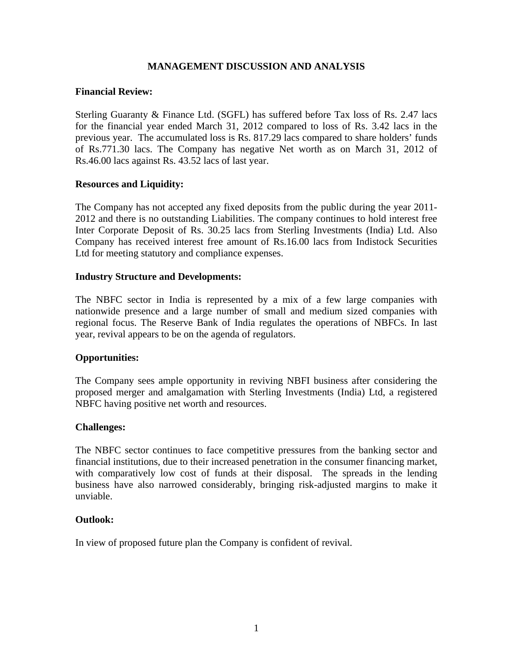# **MANAGEMENT DISCUSSION AND ANALYSIS**

## **Financial Review:**

Sterling Guaranty & Finance Ltd. (SGFL) has suffered before Tax loss of Rs. 2.47 lacs for the financial year ended March 31, 2012 compared to loss of Rs. 3.42 lacs in the previous year. The accumulated loss is Rs. 817.29 lacs compared to share holders' funds of Rs.771.30 lacs. The Company has negative Net worth as on March 31, 2012 of Rs.46.00 lacs against Rs. 43.52 lacs of last year.

#### **Resources and Liquidity:**

The Company has not accepted any fixed deposits from the public during the year 2011- 2012 and there is no outstanding Liabilities. The company continues to hold interest free Inter Corporate Deposit of Rs. 30.25 lacs from Sterling Investments (India) Ltd. Also Company has received interest free amount of Rs.16.00 lacs from Indistock Securities Ltd for meeting statutory and compliance expenses.

#### **Industry Structure and Developments:**

The NBFC sector in India is represented by a mix of a few large companies with nationwide presence and a large number of small and medium sized companies with regional focus. The Reserve Bank of India regulates the operations of NBFCs. In last year, revival appears to be on the agenda of regulators.

## **Opportunities:**

The Company sees ample opportunity in reviving NBFI business after considering the proposed merger and amalgamation with Sterling Investments (India) Ltd, a registered NBFC having positive net worth and resources.

#### **Challenges:**

The NBFC sector continues to face competitive pressures from the banking sector and financial institutions, due to their increased penetration in the consumer financing market, with comparatively low cost of funds at their disposal. The spreads in the lending business have also narrowed considerably, bringing risk-adjusted margins to make it unviable.

#### **Outlook:**

In view of proposed future plan the Company is confident of revival.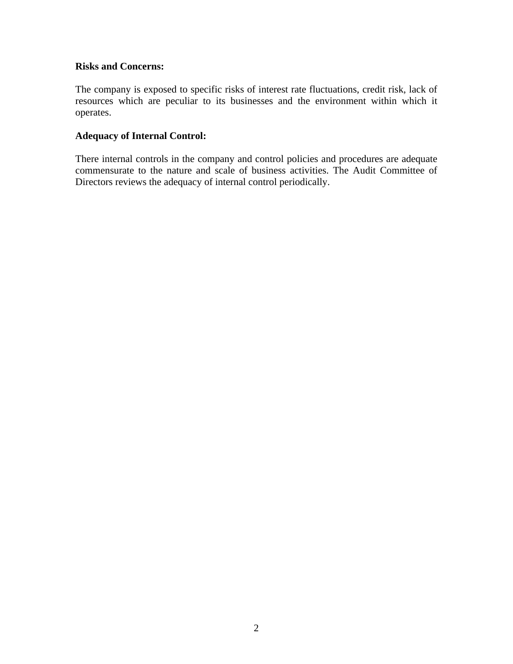# **Risks and Concerns:**

The company is exposed to specific risks of interest rate fluctuations, credit risk, lack of resources which are peculiar to its businesses and the environment within which it operates.

# **Adequacy of Internal Control:**

There internal controls in the company and control policies and procedures are adequate commensurate to the nature and scale of business activities. The Audit Committee of Directors reviews the adequacy of internal control periodically.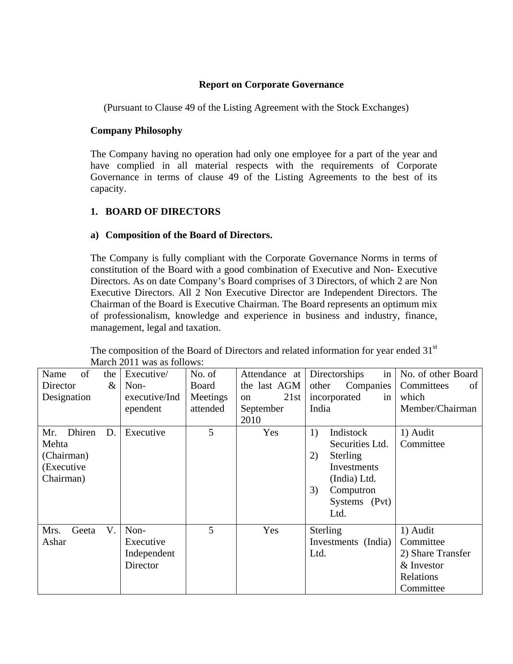# **Report on Corporate Governance**

(Pursuant to Clause 49 of the Listing Agreement with the Stock Exchanges)

# **Company Philosophy**

The Company having no operation had only one employee for a part of the year and have complied in all material respects with the requirements of Corporate Governance in terms of clause 49 of the Listing Agreements to the best of its capacity.

# **1. BOARD OF DIRECTORS**

# **a) Composition of the Board of Directors.**

The Company is fully compliant with the Corporate Governance Norms in terms of constitution of the Board with a good combination of Executive and Non- Executive Directors. As on date Company's Board comprises of 3 Directors, of which 2 are Non Executive Directors. All 2 Non Executive Director are Independent Directors. The Chairman of the Board is Executive Chairman. The Board represents an optimum mix of professionalism, knowledge and experience in business and industry, finance, management, legal and taxation.

|               |      | $m$ and $m \neq 0$ . The was as follows. |          |                       |                       |                    |
|---------------|------|------------------------------------------|----------|-----------------------|-----------------------|--------------------|
| Name<br>of    | the  | Executive/                               | No. of   | Attendance at         | Directorships<br>in   | No. of other Board |
| Director      | $\&$ | Non-                                     | Board    | the last AGM          | other<br>Companies    | Committees<br>of   |
| Designation   |      | executive/Ind                            | Meetings | 21st<br><sub>on</sub> | incorporated<br>in    | which              |
|               |      | ependent                                 | attended | September             | India                 | Member/Chairman    |
|               |      |                                          |          | 2010                  |                       |                    |
| Dhiren<br>Mr. | D.   | Executive                                | 5        | Yes                   | 1)<br>Indistock       | 1) Audit           |
| Mehta         |      |                                          |          |                       | Securities Ltd.       | Committee          |
| (Chairman)    |      |                                          |          |                       | 2)<br><b>Sterling</b> |                    |
| (Executive    |      |                                          |          |                       | Investments           |                    |
| Chairman)     |      |                                          |          |                       | (India) Ltd.          |                    |
|               |      |                                          |          |                       | 3)<br>Computron       |                    |
|               |      |                                          |          |                       | Systems (Pvt)         |                    |
|               |      |                                          |          |                       | Ltd.                  |                    |
| Mrs.<br>Geeta | V.   | Non-                                     | 5        | Yes                   | Sterling              | 1) Audit           |
| Ashar         |      | Executive                                |          |                       | Investments (India)   | Committee          |
|               |      | Independent                              |          |                       | Ltd.                  | 2) Share Transfer  |
|               |      | Director                                 |          |                       |                       | & Investor         |
|               |      |                                          |          |                       |                       | Relations          |
|               |      |                                          |          |                       |                       | Committee          |

The composition of the Board of Directors and related information for year ended 31<sup>st</sup> March 2011 was as follows: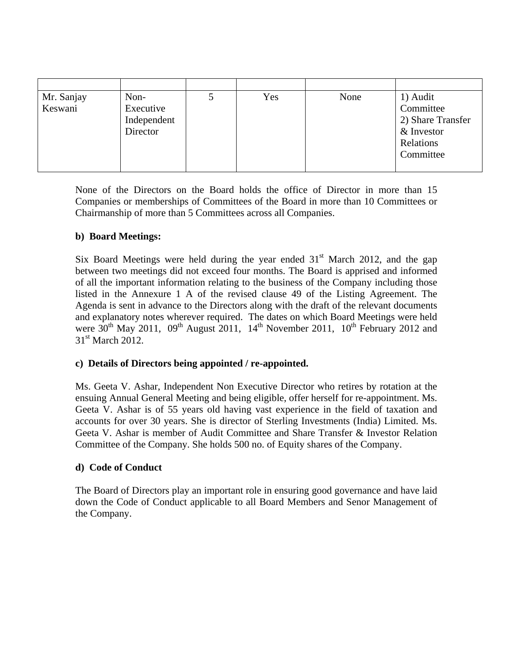| Mr. Sanjay | Non-        | Yes | None | 1) Audit          |
|------------|-------------|-----|------|-------------------|
| Keswani    | Executive   |     |      | Committee         |
|            | Independent |     |      | 2) Share Transfer |
|            | Director    |     |      | & Investor        |
|            |             |     |      | Relations         |
|            |             |     |      | Committee         |
|            |             |     |      |                   |

None of the Directors on the Board holds the office of Director in more than 15 Companies or memberships of Committees of the Board in more than 10 Committees or Chairmanship of more than 5 Committees across all Companies.

# **b) Board Meetings:**

Six Board Meetings were held during the year ended  $31<sup>st</sup>$  March 2012, and the gap between two meetings did not exceed four months. The Board is apprised and informed of all the important information relating to the business of the Company including those listed in the Annexure 1 A of the revised clause 49 of the Listing Agreement. The Agenda is sent in advance to the Directors along with the draft of the relevant documents and explanatory notes wherever required. The dates on which Board Meetings were held were  $30^{th}$  May 2011,  $09^{th}$  August 2011,  $14^{th}$  November 2011,  $10^{th}$  February 2012 and 31<sup>st</sup> March 2012.

## **c) Details of Directors being appointed / re-appointed.**

Ms. Geeta V. Ashar, Independent Non Executive Director who retires by rotation at the ensuing Annual General Meeting and being eligible, offer herself for re-appointment. Ms. Geeta V. Ashar is of 55 years old having vast experience in the field of taxation and accounts for over 30 years. She is director of Sterling Investments (India) Limited. Ms. Geeta V. Ashar is member of Audit Committee and Share Transfer & Investor Relation Committee of the Company. She holds 500 no. of Equity shares of the Company.

# **d) Code of Conduct**

The Board of Directors play an important role in ensuring good governance and have laid down the Code of Conduct applicable to all Board Members and Senor Management of the Company.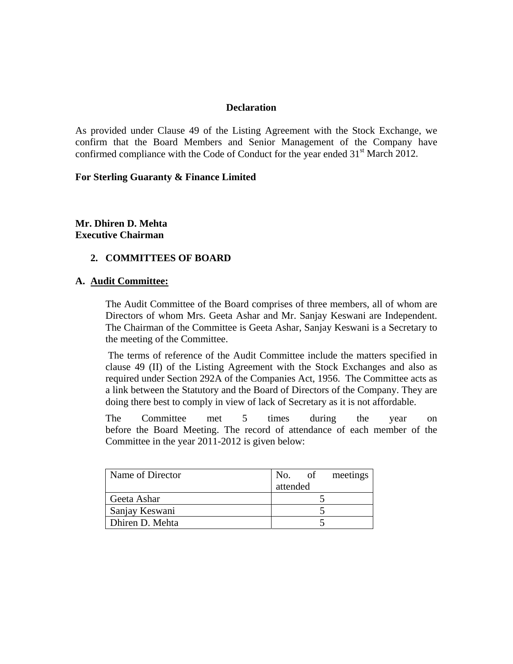#### **Declaration**

As provided under Clause 49 of the Listing Agreement with the Stock Exchange, we confirm that the Board Members and Senior Management of the Company have confirmed compliance with the Code of Conduct for the year ended  $31<sup>st</sup>$  March 2012.

#### **For Sterling Guaranty & Finance Limited**

**Mr. Dhiren D. Mehta Executive Chairman** 

## **2. COMMITTEES OF BOARD**

## **A. Audit Committee:**

The Audit Committee of the Board comprises of three members, all of whom are Directors of whom Mrs. Geeta Ashar and Mr. Sanjay Keswani are Independent. The Chairman of the Committee is Geeta Ashar, Sanjay Keswani is a Secretary to the meeting of the Committee.

 The terms of reference of the Audit Committee include the matters specified in clause 49 (II) of the Listing Agreement with the Stock Exchanges and also as required under Section 292A of the Companies Act, 1956. The Committee acts as a link between the Statutory and the Board of Directors of the Company. They are doing there best to comply in view of lack of Secretary as it is not affordable.

The Committee met 5 times during the year on before the Board Meeting. The record of attendance of each member of the Committee in the year 2011-2012 is given below:

| Name of Director | No.      | of | meetings |
|------------------|----------|----|----------|
|                  | attended |    |          |
| Geeta Ashar      |          |    |          |
| Sanjay Keswani   |          |    |          |
| Dhiren D. Mehta  |          |    |          |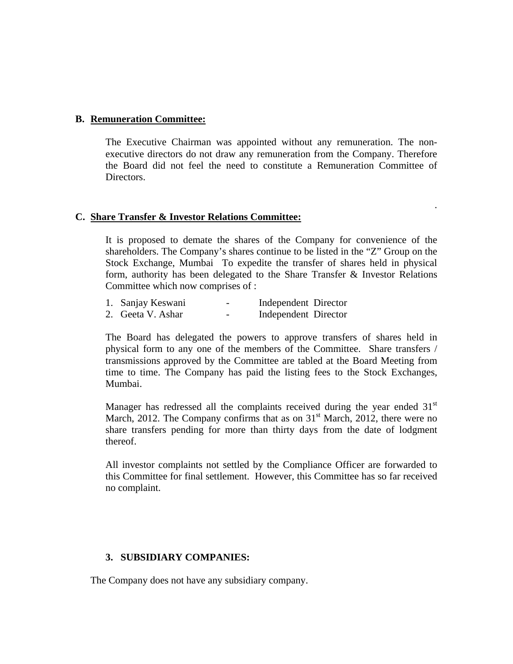#### **B. Remuneration Committee:**

The Executive Chairman was appointed without any remuneration. The nonexecutive directors do not draw any remuneration from the Company. Therefore the Board did not feel the need to constitute a Remuneration Committee of Directors.

.

#### **C. Share Transfer & Investor Relations Committee:**

It is proposed to demate the shares of the Company for convenience of the shareholders. The Company's shares continue to be listed in the "Z" Group on the Stock Exchange, Mumbai To expedite the transfer of shares held in physical form, authority has been delegated to the Share Transfer & Investor Relations Committee which now comprises of :

| 1. Sanjay Keswani | Independent Director |
|-------------------|----------------------|
|-------------------|----------------------|

2. Geeta V. Ashar - Independent Director

The Board has delegated the powers to approve transfers of shares held in physical form to any one of the members of the Committee. Share transfers / transmissions approved by the Committee are tabled at the Board Meeting from time to time. The Company has paid the listing fees to the Stock Exchanges, Mumbai.

Manager has redressed all the complaints received during the year ended  $31<sup>st</sup>$ March, 2012. The Company confirms that as on  $31<sup>st</sup>$  March, 2012, there were no share transfers pending for more than thirty days from the date of lodgment thereof.

All investor complaints not settled by the Compliance Officer are forwarded to this Committee for final settlement. However, this Committee has so far received no complaint.

## **3. SUBSIDIARY COMPANIES:**

The Company does not have any subsidiary company.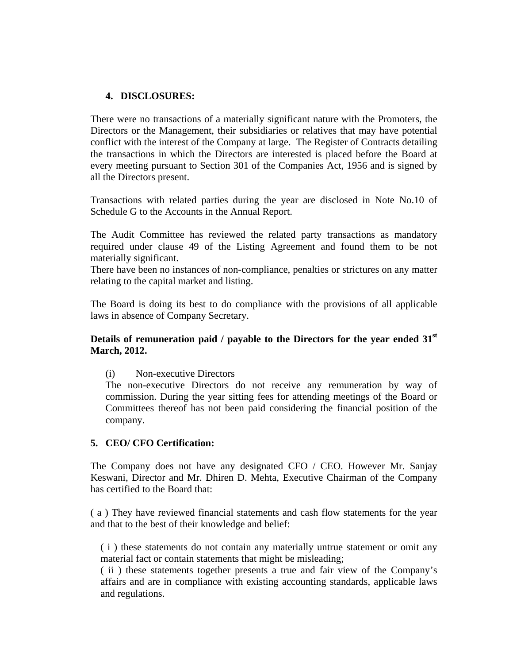## **4. DISCLOSURES:**

There were no transactions of a materially significant nature with the Promoters, the Directors or the Management, their subsidiaries or relatives that may have potential conflict with the interest of the Company at large. The Register of Contracts detailing the transactions in which the Directors are interested is placed before the Board at every meeting pursuant to Section 301 of the Companies Act, 1956 and is signed by all the Directors present.

Transactions with related parties during the year are disclosed in Note No.10 of Schedule G to the Accounts in the Annual Report.

The Audit Committee has reviewed the related party transactions as mandatory required under clause 49 of the Listing Agreement and found them to be not materially significant.

There have been no instances of non-compliance, penalties or strictures on any matter relating to the capital market and listing.

The Board is doing its best to do compliance with the provisions of all applicable laws in absence of Company Secretary.

# **Details of remuneration paid / payable to the Directors for the year ended 31st March, 2012.**

(i) Non-executive Directors

The non-executive Directors do not receive any remuneration by way of commission. During the year sitting fees for attending meetings of the Board or Committees thereof has not been paid considering the financial position of the company.

## **5. CEO/ CFO Certification:**

The Company does not have any designated CFO / CEO. However Mr. Sanjay Keswani, Director and Mr. Dhiren D. Mehta, Executive Chairman of the Company has certified to the Board that:

( a ) They have reviewed financial statements and cash flow statements for the year and that to the best of their knowledge and belief:

( i ) these statements do not contain any materially untrue statement or omit any material fact or contain statements that might be misleading;

( ii ) these statements together presents a true and fair view of the Company's affairs and are in compliance with existing accounting standards, applicable laws and regulations.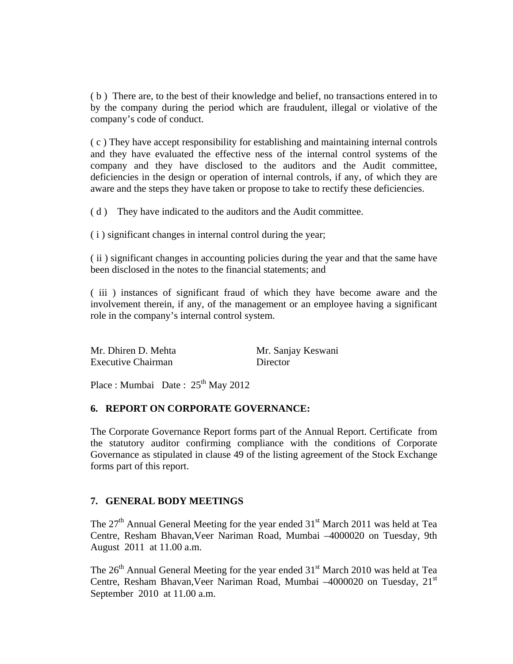( b ) There are, to the best of their knowledge and belief, no transactions entered in to by the company during the period which are fraudulent, illegal or violative of the company's code of conduct.

( c ) They have accept responsibility for establishing and maintaining internal controls and they have evaluated the effective ness of the internal control systems of the company and they have disclosed to the auditors and the Audit committee, deficiencies in the design or operation of internal controls, if any, of which they are aware and the steps they have taken or propose to take to rectify these deficiencies.

( d ) They have indicated to the auditors and the Audit committee.

( i ) significant changes in internal control during the year;

( ii ) significant changes in accounting policies during the year and that the same have been disclosed in the notes to the financial statements; and

( iii ) instances of significant fraud of which they have become aware and the involvement therein, if any, of the management or an employee having a significant role in the company's internal control system.

| Mr. Dhiren D. Mehta       | Mr. Sanjay Keswani |
|---------------------------|--------------------|
| <b>Executive Chairman</b> | Director           |

Place : Mumbai Date :  $25<sup>th</sup>$  May 2012

#### **6. REPORT ON CORPORATE GOVERNANCE:**

The Corporate Governance Report forms part of the Annual Report. Certificate from the statutory auditor confirming compliance with the conditions of Corporate Governance as stipulated in clause 49 of the listing agreement of the Stock Exchange forms part of this report.

## **7. GENERAL BODY MEETINGS**

The  $27<sup>th</sup>$  Annual General Meeting for the year ended  $31<sup>st</sup>$  March 2011 was held at Tea Centre, Resham Bhavan,Veer Nariman Road, Mumbai –4000020 on Tuesday, 9th August 2011 at 11.00 a.m.

The 26<sup>th</sup> Annual General Meeting for the year ended 31<sup>st</sup> March 2010 was held at Tea Centre, Resham Bhavan, Veer Nariman Road, Mumbai -4000020 on Tuesday, 21st September 2010 at 11.00 a.m.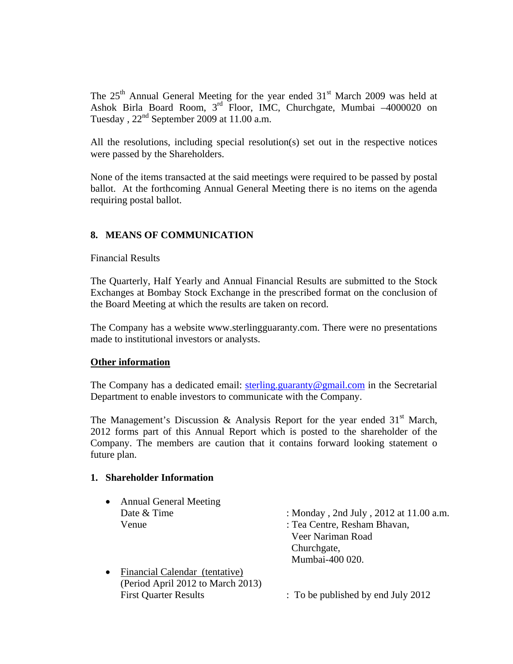The  $25<sup>th</sup>$  Annual General Meeting for the year ended  $31<sup>st</sup>$  March 2009 was held at Ashok Birla Board Room,  $3<sup>rd</sup>$  Floor, IMC, Churchgate, Mumbai  $-4000020$  on Tuesday,  $22<sup>nd</sup>$  September 2009 at 11.00 a.m.

All the resolutions, including special resolution(s) set out in the respective notices were passed by the Shareholders.

None of the items transacted at the said meetings were required to be passed by postal ballot. At the forthcoming Annual General Meeting there is no items on the agenda requiring postal ballot.

# **8. MEANS OF COMMUNICATION**

Financial Results

The Quarterly, Half Yearly and Annual Financial Results are submitted to the Stock Exchanges at Bombay Stock Exchange in the prescribed format on the conclusion of the Board Meeting at which the results are taken on record.

The Company has a website www.sterlingguaranty.com. There were no presentations made to institutional investors or analysts.

## **Other information**

The Company has a dedicated email: sterling.guaranty@gmail.com in the Secretarial Department to enable investors to communicate with the Company.

The Management's Discussion & Analysis Report for the year ended  $31<sup>st</sup>$  March, 2012 forms part of this Annual Report which is posted to the shareholder of the Company. The members are caution that it contains forward looking statement o future plan.

#### **1. Shareholder Information**

| $\bullet$ | <b>Annual General Meeting</b>     |                                        |
|-----------|-----------------------------------|----------------------------------------|
|           | Date & Time                       | : Monday, 2nd July, 2012 at 11.00 a.m. |
|           | Venue                             | : Tea Centre, Resham Bhavan,           |
|           |                                   | Veer Nariman Road                      |
|           |                                   | Churchgate,                            |
|           |                                   | Mumbai-400 020.                        |
| $\bullet$ | Financial Calendar (tentative)    |                                        |
|           | (Period April 2012 to March 2013) |                                        |
|           | <b>First Quarter Results</b>      | : To be published by end July 2012     |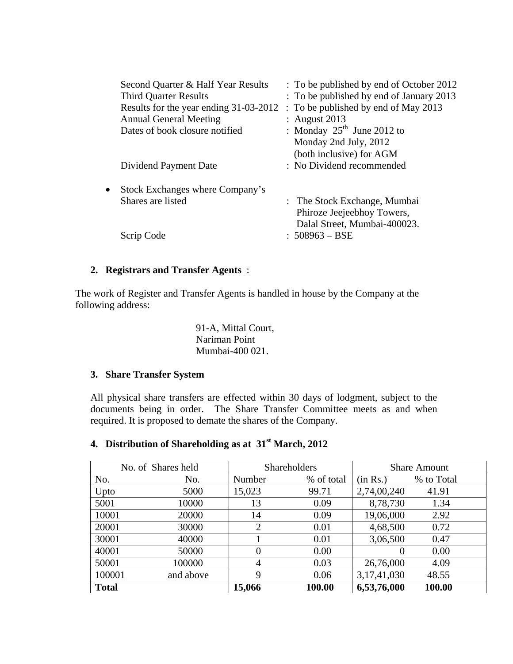|           | Second Quarter & Half Year Results<br><b>Third Quarter Results</b><br>Results for the year ending 31-03-2012<br><b>Annual General Meeting</b><br>Dates of book closure notified<br>Dividend Payment Date | : To be published by end of October 2012<br>: To be published by end of January 2013<br>: To be published by end of May 2013<br>: August $2013$<br>: Monday $25^{\text{th}}$ June 2012 to<br>Monday 2nd July, 2012<br>(both inclusive) for AGM<br>: No Dividend recommended |
|-----------|----------------------------------------------------------------------------------------------------------------------------------------------------------------------------------------------------------|-----------------------------------------------------------------------------------------------------------------------------------------------------------------------------------------------------------------------------------------------------------------------------|
| $\bullet$ | Stock Exchanges where Company's<br>Shares are listed<br>Scrip Code                                                                                                                                       | : The Stock Exchange, Mumbai<br>Phiroze Jeejeebhoy Towers,<br>Dalal Street, Mumbai-400023.<br>$: 508963 - BSE$                                                                                                                                                              |

# **2. Registrars and Transfer Agents** :

The work of Register and Transfer Agents is handled in house by the Company at the following address:

> 91-A, Mittal Court, Nariman Point Mumbai-400 021.

# **3. Share Transfer System**

All physical share transfers are effected within 30 days of lodgment, subject to the documents being in order. The Share Transfer Committee meets as and when required. It is proposed to demate the shares of the Company.

# **4. Distribution of Shareholding as at 31st March, 2012**

|              | No. of Shares held |        | <b>Shareholders</b> |             | <b>Share Amount</b> |
|--------------|--------------------|--------|---------------------|-------------|---------------------|
| No.          | No.                | Number | % of total          | (in Rs.)    | % to Total          |
| Upto         | 5000               | 15,023 | 99.71               | 2,74,00,240 | 41.91               |
| 5001         | 10000              | 13     | 0.09                | 8,78,730    | 1.34                |
| 10001        | 20000              | 14     | 0.09                | 19,06,000   | 2.92                |
| 20001        | 30000              | 2      | 0.01                | 4,68,500    | 0.72                |
| 30001        | 40000              |        | 0.01                | 3,06,500    | 0.47                |
| 40001        | 50000              | 0      | 0.00                | $\theta$    | 0.00                |
| 50001        | 100000             | 4      | 0.03                | 26,76,000   | 4.09                |
| 100001       | and above          | 9      | 0.06                | 3,17,41,030 | 48.55               |
| <b>Total</b> |                    | 15,066 | 100.00              | 6,53,76,000 | 100.00              |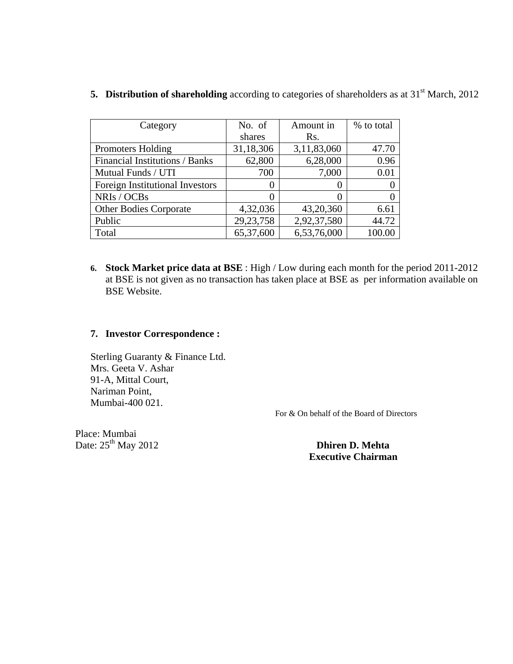| Category                               | No. of      | Amount in         | % to total |
|----------------------------------------|-------------|-------------------|------------|
|                                        | shares      | Rs.               |            |
| <b>Promoters Holding</b>               | 31,18,306   | 3,11,83,060       | 47.70      |
| Financial Institutions / Banks         | 62,800      | 6,28,000          | 0.96       |
| Mutual Funds / UTI                     | 700         | 7,000             | 0.01       |
| <b>Foreign Institutional Investors</b> |             | $\theta$          | $\theta$   |
| NRIs / OCBs                            |             | $\mathbf{\Omega}$ | 0          |
| <b>Other Bodies Corporate</b>          | 4,32,036    | 43,20,360         | 6.61       |
| Public                                 | 29, 23, 758 | 2,92,37,580       | 44.72      |
| Total                                  | 65,37,600   | 6,53,76,000       | 100.00     |

**5. Distribution of shareholding** according to categories of shareholders as at 31<sup>st</sup> March, 2012

**6. Stock Market price data at BSE** : High / Low during each month for the period 2011-2012 at BSE is not given as no transaction has taken place at BSE as per information available on BSE Website.

# **7. Investor Correspondence :**

Sterling Guaranty & Finance Ltd. Mrs. Geeta V. Ashar 91-A, Mittal Court, Nariman Point, Mumbai-400 021.

For & On behalf of the Board of Directors

Place: Mumbai Date:  $25<sup>th</sup>$  May 2012 **Dhiren D. Mehta** 

 **Executive Chairman**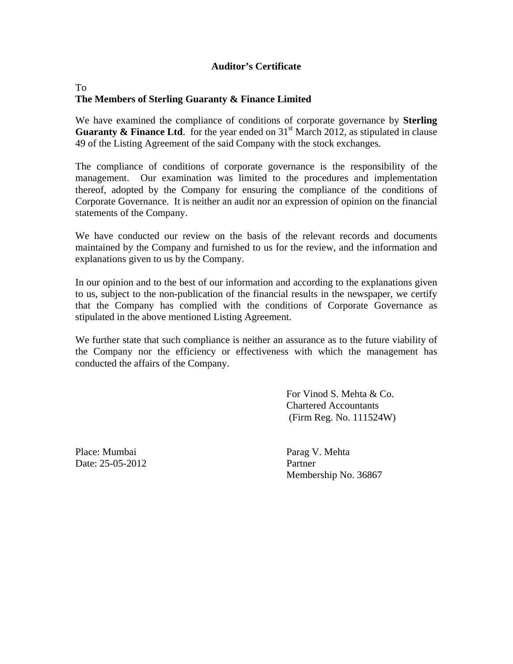# **Auditor's Certificate**

# To **The Members of Sterling Guaranty & Finance Limited**

We have examined the compliance of conditions of corporate governance by **Sterling Guaranty & Finance Ltd.** for the year ended on  $31<sup>st</sup>$  March 2012, as stipulated in clause 49 of the Listing Agreement of the said Company with the stock exchanges.

The compliance of conditions of corporate governance is the responsibility of the management. Our examination was limited to the procedures and implementation thereof, adopted by the Company for ensuring the compliance of the conditions of Corporate Governance. It is neither an audit nor an expression of opinion on the financial statements of the Company.

We have conducted our review on the basis of the relevant records and documents maintained by the Company and furnished to us for the review, and the information and explanations given to us by the Company.

In our opinion and to the best of our information and according to the explanations given to us, subject to the non-publication of the financial results in the newspaper, we certify that the Company has complied with the conditions of Corporate Governance as stipulated in the above mentioned Listing Agreement.

We further state that such compliance is neither an assurance as to the future viability of the Company nor the efficiency or effectiveness with which the management has conducted the affairs of the Company.

> For Vinod S. Mehta & Co. Chartered Accountants (Firm Reg. No. 111524W)

Place: Mumbai Parag V. Mehta Date: 25-05-2012 Partner

Membership No. 36867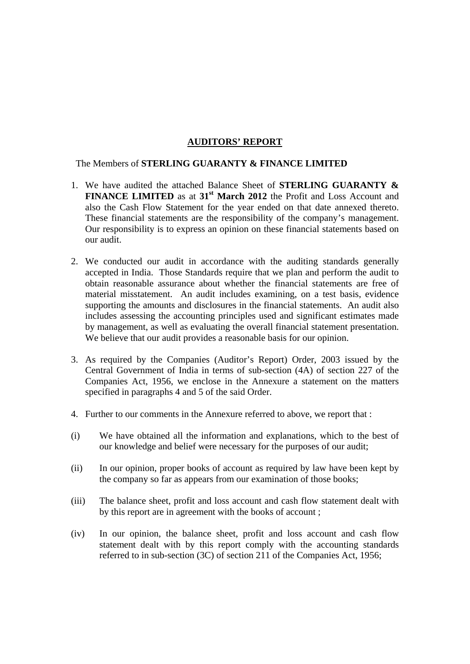# **AUDITORS' REPORT**

The Members of **STERLING GUARANTY & FINANCE LIMITED**

- 1. We have audited the attached Balance Sheet of **STERLING GUARANTY & FINANCE LIMITED** as at 31<sup>st</sup> March 2012 the Profit and Loss Account and also the Cash Flow Statement for the year ended on that date annexed thereto. These financial statements are the responsibility of the company's management. Our responsibility is to express an opinion on these financial statements based on our audit.
- 2. We conducted our audit in accordance with the auditing standards generally accepted in India. Those Standards require that we plan and perform the audit to obtain reasonable assurance about whether the financial statements are free of material misstatement. An audit includes examining, on a test basis, evidence supporting the amounts and disclosures in the financial statements. An audit also includes assessing the accounting principles used and significant estimates made by management, as well as evaluating the overall financial statement presentation. We believe that our audit provides a reasonable basis for our opinion.
- 3. As required by the Companies (Auditor's Report) Order, 2003 issued by the Central Government of India in terms of sub-section (4A) of section 227 of the Companies Act, 1956, we enclose in the Annexure a statement on the matters specified in paragraphs 4 and 5 of the said Order.
- 4. Further to our comments in the Annexure referred to above, we report that :
- (i) We have obtained all the information and explanations, which to the best of our knowledge and belief were necessary for the purposes of our audit;
- (ii) In our opinion, proper books of account as required by law have been kept by the company so far as appears from our examination of those books;
- (iii) The balance sheet, profit and loss account and cash flow statement dealt with by this report are in agreement with the books of account ;
- (iv) In our opinion, the balance sheet, profit and loss account and cash flow statement dealt with by this report comply with the accounting standards referred to in sub-section (3C) of section 211 of the Companies Act, 1956;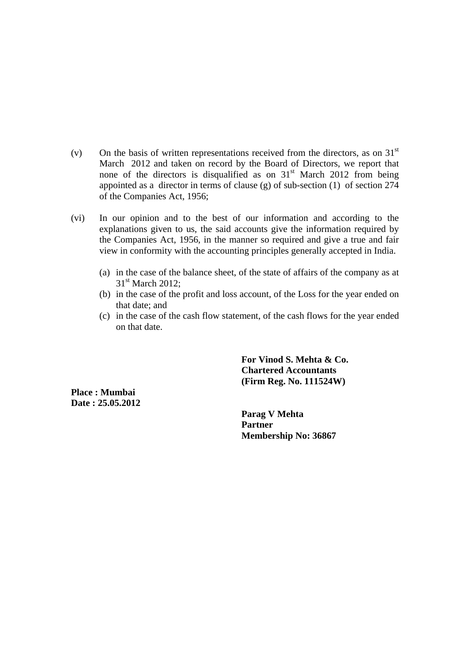- (v) On the basis of written representations received from the directors, as on  $31<sup>st</sup>$ March 2012 and taken on record by the Board of Directors, we report that none of the directors is disqualified as on  $31<sup>st</sup>$  March 2012 from being appointed as a director in terms of clause (g) of sub-section  $(1)$  of section  $274$ of the Companies Act, 1956;
- (vi) In our opinion and to the best of our information and according to the explanations given to us, the said accounts give the information required by the Companies Act, 1956, in the manner so required and give a true and fair view in conformity with the accounting principles generally accepted in India.
	- (a) in the case of the balance sheet, of the state of affairs of the company as at 31<sup>st</sup> March 2012:
	- (b) in the case of the profit and loss account, of the Loss for the year ended on that date; and
	- (c) in the case of the cash flow statement, of the cash flows for the year ended on that date.

**For Vinod S. Mehta & Co. Chartered Accountants (Firm Reg. No. 111524W)** 

**Place : Mumbai Date : 25.05.2012** 

> **Parag V Mehta Partner Membership No: 36867**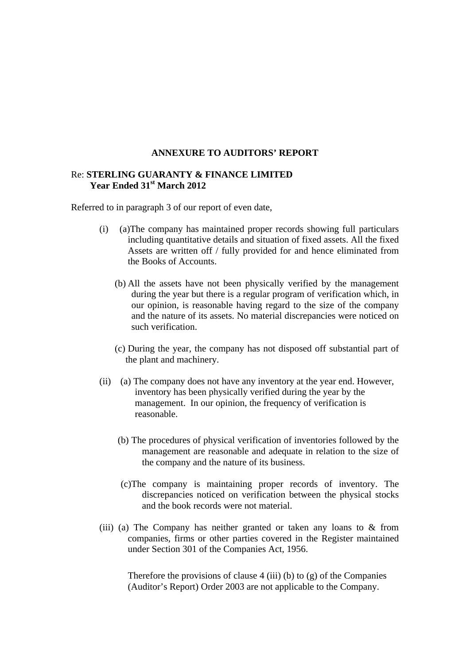#### **ANNEXURE TO AUDITORS' REPORT**

## Re: **STERLING GUARANTY & FINANCE LIMITED Year Ended 31st March 2012**

Referred to in paragraph 3 of our report of even date,

- (i) (a)The company has maintained proper records showing full particulars including quantitative details and situation of fixed assets. All the fixed Assets are written off / fully provided for and hence eliminated from the Books of Accounts.
	- (b) All the assets have not been physically verified by the management during the year but there is a regular program of verification which, in our opinion, is reasonable having regard to the size of the company and the nature of its assets. No material discrepancies were noticed on such verification.
	- (c) During the year, the company has not disposed off substantial part of the plant and machinery.
- (ii) (a) The company does not have any inventory at the year end. However, inventory has been physically verified during the year by the management. In our opinion, the frequency of verification is reasonable.
	- (b) The procedures of physical verification of inventories followed by the management are reasonable and adequate in relation to the size of the company and the nature of its business.
	- (c)The company is maintaining proper records of inventory. The discrepancies noticed on verification between the physical stocks and the book records were not material.
- (iii) (a) The Company has neither granted or taken any loans to & from companies, firms or other parties covered in the Register maintained under Section 301 of the Companies Act, 1956.

Therefore the provisions of clause  $4$  (iii) (b) to (g) of the Companies (Auditor's Report) Order 2003 are not applicable to the Company.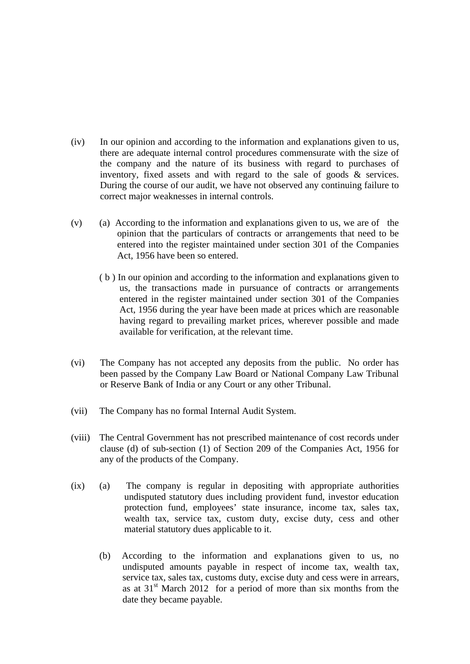- (iv) In our opinion and according to the information and explanations given to us, there are adequate internal control procedures commensurate with the size of the company and the nature of its business with regard to purchases of inventory, fixed assets and with regard to the sale of goods & services. During the course of our audit, we have not observed any continuing failure to correct major weaknesses in internal controls.
- $(v)$  (a) According to the information and explanations given to us, we are of the opinion that the particulars of contracts or arrangements that need to be entered into the register maintained under section 301 of the Companies Act, 1956 have been so entered.
	- ( b ) In our opinion and according to the information and explanations given to us, the transactions made in pursuance of contracts or arrangements entered in the register maintained under section 301 of the Companies Act, 1956 during the year have been made at prices which are reasonable having regard to prevailing market prices, wherever possible and made available for verification, at the relevant time.
- (vi) The Company has not accepted any deposits from the public. No order has been passed by the Company Law Board or National Company Law Tribunal or Reserve Bank of India or any Court or any other Tribunal.
- (vii) The Company has no formal Internal Audit System.
- (viii) The Central Government has not prescribed maintenance of cost records under clause (d) of sub-section (1) of Section 209 of the Companies Act, 1956 for any of the products of the Company.
- (ix) (a) The company is regular in depositing with appropriate authorities undisputed statutory dues including provident fund, investor education protection fund, employees' state insurance, income tax, sales tax, wealth tax, service tax, custom duty, excise duty, cess and other material statutory dues applicable to it.
	- (b) According to the information and explanations given to us, no undisputed amounts payable in respect of income tax, wealth tax, service tax, sales tax, customs duty, excise duty and cess were in arrears, as at  $31<sup>st</sup>$  March 2012 for a period of more than six months from the date they became payable.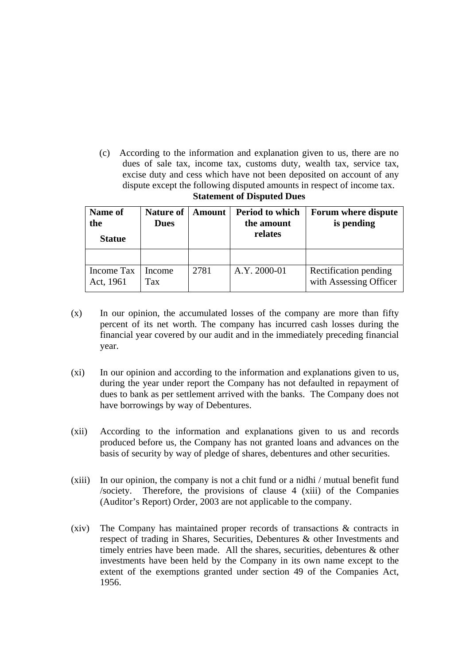(c) According to the information and explanation given to us, there are no dues of sale tax, income tax, customs duty, wealth tax, service tax, excise duty and cess which have not been deposited on account of any dispute except the following disputed amounts in respect of income tax. **Statement of Disputed Dues**

| Name of<br>the<br><b>Statue</b> | <b>Nature of</b><br><b>Dues</b> | <b>Amount</b> | <b>Period to which</b><br>the amount<br>relates | Forum where dispute<br>is pending               |
|---------------------------------|---------------------------------|---------------|-------------------------------------------------|-------------------------------------------------|
|                                 |                                 |               |                                                 |                                                 |
| Income Tax<br>Act, 1961         | Income<br>Tax                   | 2781          | A.Y. 2000-01                                    | Rectification pending<br>with Assessing Officer |

- (x) In our opinion, the accumulated losses of the company are more than fifty percent of its net worth. The company has incurred cash losses during the financial year covered by our audit and in the immediately preceding financial year.
- (xi) In our opinion and according to the information and explanations given to us, during the year under report the Company has not defaulted in repayment of dues to bank as per settlement arrived with the banks. The Company does not have borrowings by way of Debentures.
- (xii) According to the information and explanations given to us and records produced before us, the Company has not granted loans and advances on the basis of security by way of pledge of shares, debentures and other securities.
- (xiii) In our opinion, the company is not a chit fund or a nidhi / mutual benefit fund /society. Therefore, the provisions of clause 4 (xiii) of the Companies (Auditor's Report) Order, 2003 are not applicable to the company.
- (xiv) The Company has maintained proper records of transactions & contracts in respect of trading in Shares, Securities, Debentures & other Investments and timely entries have been made. All the shares, securities, debentures & other investments have been held by the Company in its own name except to the extent of the exemptions granted under section 49 of the Companies Act, 1956.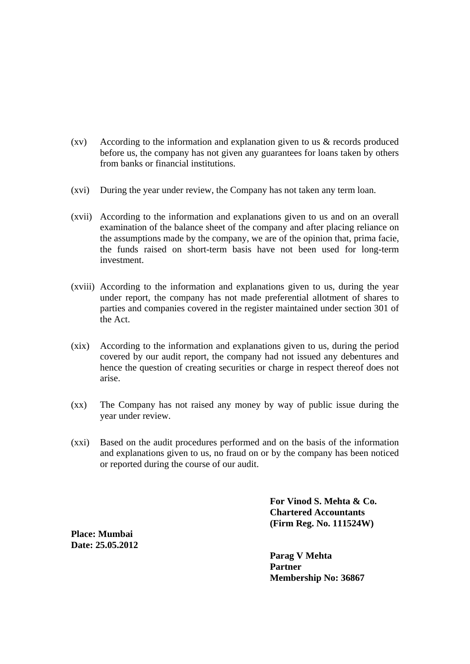- (xv) According to the information and explanation given to us & records produced before us, the company has not given any guarantees for loans taken by others from banks or financial institutions.
- (xvi) During the year under review, the Company has not taken any term loan.
- (xvii) According to the information and explanations given to us and on an overall examination of the balance sheet of the company and after placing reliance on the assumptions made by the company, we are of the opinion that, prima facie, the funds raised on short-term basis have not been used for long-term investment.
- (xviii) According to the information and explanations given to us, during the year under report, the company has not made preferential allotment of shares to parties and companies covered in the register maintained under section 301 of the Act.
- (xix) According to the information and explanations given to us, during the period covered by our audit report, the company had not issued any debentures and hence the question of creating securities or charge in respect thereof does not arise.
- (xx) The Company has not raised any money by way of public issue during the year under review.
- (xxi) Based on the audit procedures performed and on the basis of the information and explanations given to us, no fraud on or by the company has been noticed or reported during the course of our audit.

**For Vinod S. Mehta & Co. Chartered Accountants (Firm Reg. No. 111524W)** 

**Place: Mumbai Date: 25.05.2012** 

> **Parag V Mehta Partner Membership No: 36867**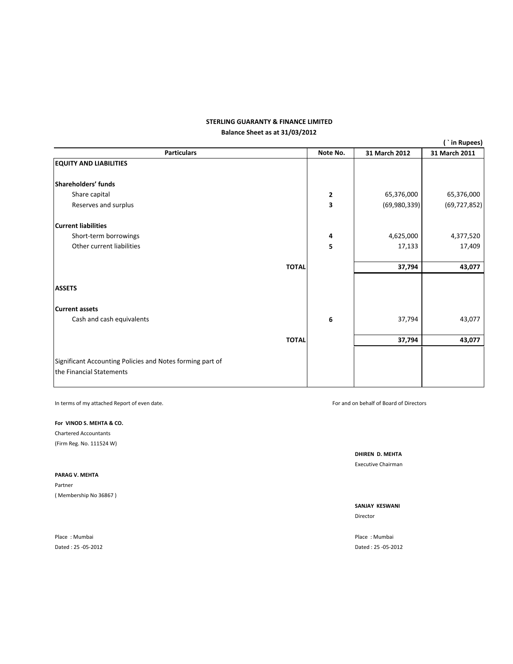#### **Balance Sheet as at 31/03/2012 STERLING GUARANTY & FINANCE LIMITED**

|                                                                                       |              |               | (`in Rupees)   |
|---------------------------------------------------------------------------------------|--------------|---------------|----------------|
| <b>Particulars</b>                                                                    | Note No.     | 31 March 2012 | 31 March 2011  |
| <b>EQUITY AND LIABILITIES</b>                                                         |              |               |                |
| Shareholders' funds                                                                   |              |               |                |
| Share capital                                                                         | $\mathbf{2}$ | 65,376,000    | 65,376,000     |
| Reserves and surplus                                                                  | 3            | (69,980,339)  | (69, 727, 852) |
| <b>Current liabilities</b>                                                            |              |               |                |
| Short-term borrowings                                                                 | 4            | 4,625,000     | 4,377,520      |
| Other current liabilities                                                             | 5            | 17,133        | 17,409         |
| <b>TOTAL</b>                                                                          |              | 37,794        | 43,077         |
| <b>ASSETS</b>                                                                         |              |               |                |
| <b>Current assets</b>                                                                 |              |               |                |
| Cash and cash equivalents                                                             | 6            | 37,794        | 43,077         |
| <b>TOTAL</b>                                                                          |              | 37,794        | 43,077         |
| Significant Accounting Policies and Notes forming part of<br>the Financial Statements |              |               |                |

In terms of my attached Report of even date. **Solution** that the state of the state of Board of Directors of Directors and on behalf of Board of Directors

#### **For VINOD S. MEHTA & CO.**

Chartered Accountants (Firm Reg. No. 111524 W)

#### **PARAG V. MEHTA**

Partner ( Membership No 36867 )

Place : Mumbai Place : Mumbai Dated : 25 ‐05‐2012 Dated : 25 ‐05‐2012

**DHIREN D. MEHTA** Executive Chairman

#### **SANJAY KESWANI** Director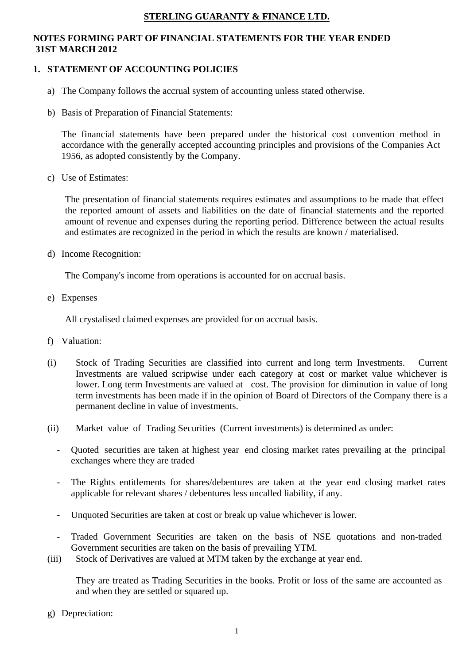# **STERLING GUARANTY & FINANCE LTD.**

# **NOTES FORMING PART OF FINANCIAL STATEMENTS FOR THE YEAR ENDED 31ST MARCH 2012**

# **1. STATEMENT OF ACCOUNTING POLICIES**

- a) The Company follows the accrual system of accounting unless stated otherwise.
- b) Basis of Preparation of Financial Statements:

The financial statements have been prepared under the historical cost convention method in accordance with the generally accepted accounting principles and provisions of the Companies Act 1956, as adopted consistently by the Company.

c) Use of Estimates:

The presentation of financial statements requires estimates and assumptions to be made that effect the reported amount of assets and liabilities on the date of financial statements and the reported amount of revenue and expenses during the reporting period. Difference between the actual results and estimates are recognized in the period in which the results are known / materialised.

d) Income Recognition:

The Company's income from operations is accounted for on accrual basis.

e) Expenses

All crystalised claimed expenses are provided for on accrual basis.

- f) Valuation:
- (i) Stock of Trading Securities are classified into current and long term Investments. Current Investments are valued scripwise under each category at cost or market value whichever is lower. Long term Investments are valued at cost. The provision for diminution in value of long term investments has been made if in the opinion of Board of Directors of the Company there is a permanent decline in value of investments.
- (ii) Market value of Trading Securities (Current investments) is determined as under:
	- Quoted securities are taken at highest year end closing market rates prevailing at the principal exchanges where they are traded
	- The Rights entitlements for shares/debentures are taken at the year end closing market rates applicable for relevant shares / debentures less uncalled liability, if any.
	- Unquoted Securities are taken at cost or break up value whichever is lower.
	- Traded Government Securities are taken on the basis of NSE quotations and non-traded Government securities are taken on the basis of prevailing YTM.
- (iii) Stock of Derivatives are valued at MTM taken by the exchange at year end.

They are treated as Trading Securities in the books. Profit or loss of the same are accounted as and when they are settled or squared up.

g) Depreciation: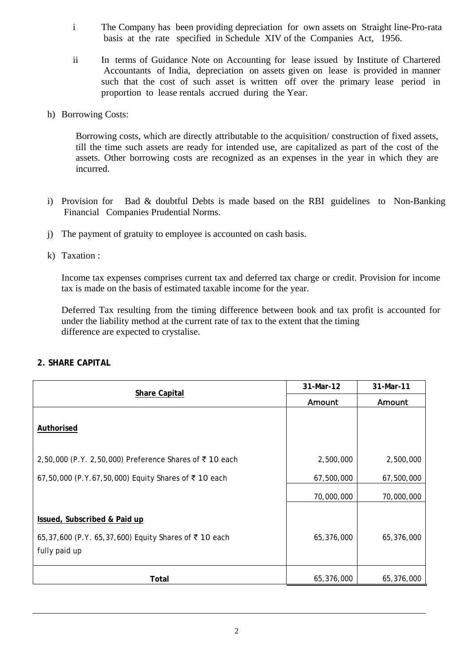- i The Company has been providing depreciation for own assets on Straight line-Pro-rata basis at the rate specified in Schedule XIV of the Companies Act, 1956.
- ii In terms of Guidance Note on Accounting for lease issued by Institute of Chartered Accountants of India, depreciation on assets given on lease is provided in manner such that the cost of such asset is written off over the primary lease period in proportion to lease rentals accrued during the Year.
- h) Borrowing Costs:

Borrowing costs, which are directly attributable to the acquisition/ construction of fixed assets, till the time such assets are ready for intended use, are capitalized as part of the cost of the assets. Other borrowing costs are recognized as an expenses in the year in which they are incurred.

- i) Provision for Bad & doubtful Debts is made based on the RBI guidelines to Non-Banking Financial Companies Prudential Norms.
- j) The payment of gratuity to employee is accounted on cash basis.
- k) Taxation :

Income tax expenses comprises current tax and deferred tax charge or credit. Provision for income tax is made on the basis of estimated taxable income for the year.

Deferred Tax resulting from the timing difference between book and tax profit is accounted for under the liability method at the current rate of tax to the extent that the timing difference are expected to crystalise.

**2. SHARE CAPITAL** 

| <b>Share Capital</b>                                                                                  | 31-Mar-12  | 31-Mar-11  |
|-------------------------------------------------------------------------------------------------------|------------|------------|
|                                                                                                       | Amount     | Amount     |
| <b>Authorised</b>                                                                                     |            |            |
| 2,50,000 (P.Y. 2,50,000) Preference Shares of ₹10 each                                                | 2,500,000  | 2,500,000  |
| 67,50,000 (P.Y.67,50,000) Equity Shares of ₹10 each                                                   | 67,500,000 | 67,500,000 |
|                                                                                                       | 70,000,000 | 70,000,000 |
| Issued, Subscribed & Paid up<br>65,37,600 (P.Y. 65,37,600) Equity Shares of ₹10 each<br>fully paid up | 65,376,000 | 65,376,000 |
| Total                                                                                                 | 65,376,000 | 65,376,000 |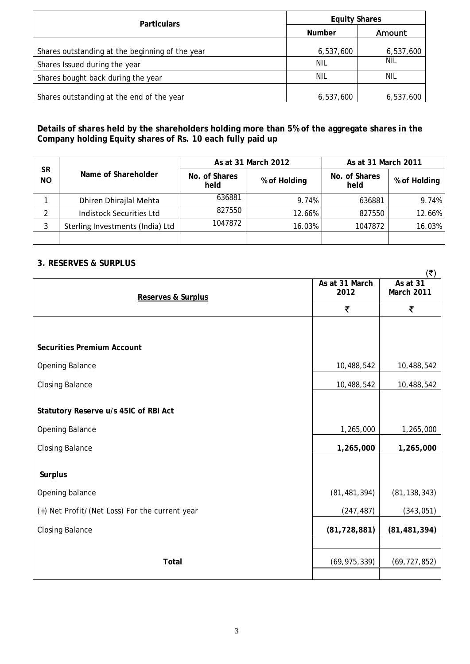| <b>Particulars</b>                              | <b>Equity Shares</b> |           |  |
|-------------------------------------------------|----------------------|-----------|--|
|                                                 | <b>Number</b>        | Amount    |  |
| Shares outstanding at the beginning of the year | 6,537,600            | 6,537,600 |  |
| Shares Issued during the year                   | <b>NIL</b>           | Nil       |  |
| Shares bought back during the year              | <b>NIL</b>           | Nil       |  |
| Shares outstanding at the end of the year       | 6,537,600            | 6,537,600 |  |

# **Details of shares held by the shareholders holding more than 5% of the aggregate shares in the Company holding Equity shares of Rs. 10 each fully paid up**

|                        | Name of Shareholder              |                       | As at 31 March 2012 | As at 31 March 2011   |              |  |
|------------------------|----------------------------------|-----------------------|---------------------|-----------------------|--------------|--|
| <b>SR</b><br><b>NO</b> |                                  | No. of Shares<br>held | % of Holding        | No. of Shares<br>held | % of Holding |  |
|                        | Dhiren Dhirajlal Mehta           | 636881                | 9.74%               | 636881                | 9.74%        |  |
|                        | <b>Indistock Securities Ltd</b>  | 827550                | 12.66%              | 827550                | 12.66%       |  |
| 3                      | Sterling Investments (India) Ltd | 1047872               | 16.03%              | 1047872               | 16.03%       |  |
|                        |                                  |                       |                     |                       |              |  |

# **3. RESERVES & SURPLUS**

|                                                |                | (₹)            |
|------------------------------------------------|----------------|----------------|
|                                                | As at 31 March | As at 31       |
| Reserves & Surplus                             | 2012           | March 2011     |
|                                                | ₹              | ₹              |
|                                                |                |                |
|                                                |                |                |
|                                                |                |                |
| <b>Securities Premium Account</b>              |                |                |
| Opening Balance                                | 10,488,542     | 10,488,542     |
|                                                |                |                |
| <b>Closing Balance</b>                         | 10,488,542     | 10,488,542     |
|                                                |                |                |
| Statutory Reserve u/s 45IC of RBI Act          |                |                |
| <b>Opening Balance</b>                         | 1,265,000      | 1,265,000      |
|                                                |                |                |
| <b>Closing Balance</b>                         | 1,265,000      | 1,265,000      |
|                                                |                |                |
| <b>Surplus</b>                                 |                |                |
|                                                |                |                |
| Opening balance                                | (81, 481, 394) | (81, 138, 343) |
| (+) Net Profit/(Net Loss) For the current year | (247, 487)     | (343, 051)     |
| <b>Closing Balance</b>                         | (81, 728, 881) | (81, 481, 394) |
|                                                |                |                |
|                                                |                |                |
| Total                                          | (69, 975, 339) | (69, 727, 852) |
|                                                |                |                |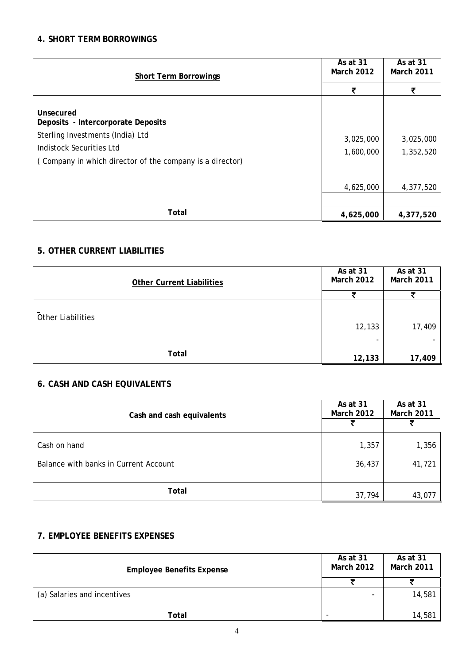# **4. SHORT TERM BORROWINGS**

| <b>Short Term Borrowings</b>                                                                                                                                                | As at 31<br><b>March 2012</b> | As at 31<br>March 2011 |
|-----------------------------------------------------------------------------------------------------------------------------------------------------------------------------|-------------------------------|------------------------|
|                                                                                                                                                                             | ₹                             |                        |
| Unsecured<br>Deposits - Intercorporate Deposits<br>Sterling Investments (India) Ltd<br>Indistock Securities Ltd<br>(Company in which director of the company is a director) | 3,025,000<br>1,600,000        | 3,025,000<br>1,352,520 |
|                                                                                                                                                                             | 4,625,000                     | 4,377,520              |
|                                                                                                                                                                             |                               |                        |
| Total                                                                                                                                                                       | 4,625,000                     | 4,377,520              |

# **5. OTHER CURRENT LIABILITIES**

| <b>Other Current Liabilities</b> | As at 31<br><b>March 2012</b> | As at 31<br><b>March 2011</b> |
|----------------------------------|-------------------------------|-------------------------------|
|                                  | Ŧ                             |                               |
| <b>Other Liabilities</b>         | 12,133<br>۰                   | 17,409                        |
| Total                            | 12,133                        | 17,409                        |

# **6. CASH AND CASH EQUIVALENTS**

| Cash and cash equivalents                             | As at 31<br><b>March 2012</b> | As at 31<br>March 2011 |
|-------------------------------------------------------|-------------------------------|------------------------|
| Cash on hand<br>Balance with banks in Current Account | 1,357<br>36,437               | 1,356<br>41,721        |
| Total                                                 | 37,794                        | 43,077                 |

# **7. EMPLOYEE BENEFITS EXPENSES**

| <b>Employee Benefits Expense</b> | As at 31<br><b>March 2012</b> | As at 31<br>March 2011 |
|----------------------------------|-------------------------------|------------------------|
|                                  |                               |                        |
| (a) Salaries and incentives      | $\overline{\phantom{a}}$      | 14,581                 |
|                                  |                               |                        |
| Total                            | -                             | 14,581                 |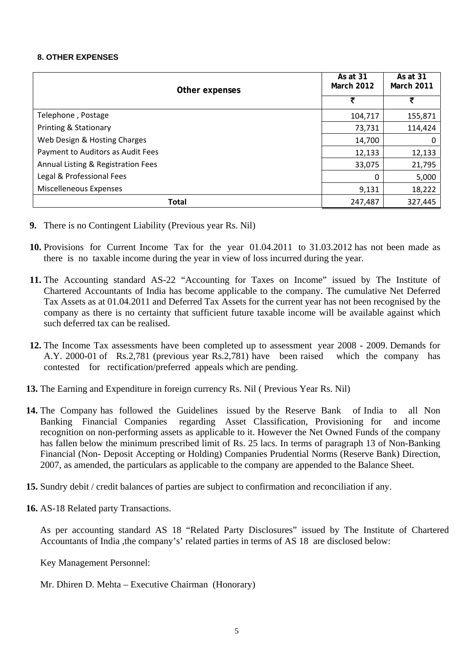#### **8. OTHER EXPENSES**

| Other expenses                     | As at 31<br><b>March 2012</b> | As at 31<br><b>March 2011</b> |
|------------------------------------|-------------------------------|-------------------------------|
|                                    | ₹                             | ₹                             |
| Telephone, Postage                 | 104,717                       | 155,871                       |
| Printing & Stationary              | 73,731                        | 114,424                       |
| Web Design & Hosting Charges       | 14,700                        | 0                             |
| Payment to Auditors as Audit Fees  | 12,133                        | 12,133                        |
| Annual Listing & Registration Fees | 33,075                        | 21,795                        |
| Legal & Professional Fees          | $\Omega$                      | 5,000                         |
| Miscelleneous Expenses             | 9,131                         | 18,222                        |
| <b>Total</b>                       | 247,487                       | 327,445                       |

- **9.** There is no Contingent Liability (Previous year Rs. Nil)
- **10.** Provisions for Current Income Tax for the year 01.04.2011 to 31.03.2012 has not been made as there is no taxable income during the year in view of loss incurred during the year.
- **11.** The Accounting standard AS-22 "Accounting for Taxes on Income" issued by The Institute of Chartered Accountants of India has become applicable to the company. The cumulative Net Deferred Tax Assets as at 01.04.2011 and Deferred Tax Assets for the current year has not been recognised by the company as there is no certainty that sufficient future taxable income will be available against which such deferred tax can be realised.
- **12.** The Income Tax assessments have been completed up to assessment year 2008 2009. Demands for A.Y. 2000-01 of Rs.2,781 (previous year Rs.2,781) have been raised which the company has contested for rectification/preferred appeals which are pending.
- **13.** The Earning and Expenditure in foreign currency Rs. Nil ( Previous Year Rs. Nil)
- **14.** The Company has followed the Guidelines issued by the Reserve Bank of India to all Non Banking Financial Companies regarding Asset Classification, Provisioning for and income recognition on non-performing assets as applicable to it. However the Net Owned Funds of the company has fallen below the minimum prescribed limit of Rs. 25 lacs. In terms of paragraph 13 of Non-Banking Financial (Non- Deposit Accepting or Holding) Companies Prudential Norms (Reserve Bank) Direction, 2007, as amended, the particulars as applicable to the company are appended to the Balance Sheet.
- **15.** Sundry debit / credit balances of parties are subject to confirmation and reconciliation if any.
- **16.** AS-18 Related party Transactions.

As per accounting standard AS 18 "Related Party Disclosures" issued by The Institute of Chartered Accountants of India ,the company's' related parties in terms of AS 18 are disclosed below:

Key Management Personnel:

Mr. Dhiren D. Mehta – Executive Chairman (Honorary)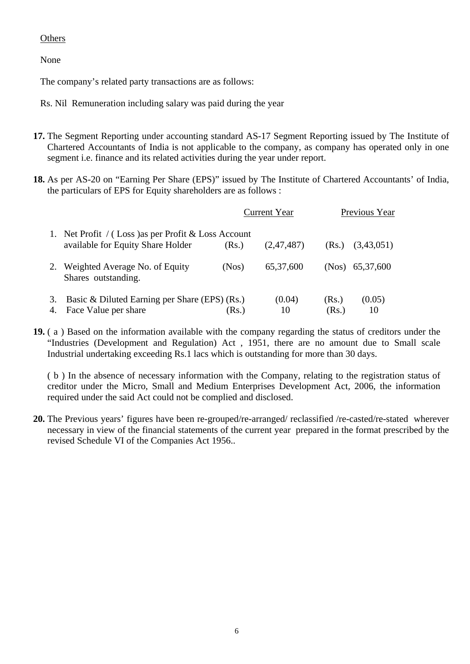# **Others**

None

The company's related party transactions are as follows:

Rs. Nil Remuneration including salary was paid during the year

- **17.** The Segment Reporting under accounting standard AS-17 Segment Reporting issued by The Institute of Chartered Accountants of India is not applicable to the company, as company has operated only in one segment i.e. finance and its related activities during the year under report.
- **18.** As per AS-20 on "Earning Per Share (EPS)" issued by The Institute of Chartered Accountants' of India, the particulars of EPS for Equity shareholders are as follows :

|          |                                                                                          |       | <b>Current Year</b> | Previous Year  |              |
|----------|------------------------------------------------------------------------------------------|-------|---------------------|----------------|--------------|
|          | 1. Net Profit / (Loss) as per Profit & Loss Account<br>available for Equity Share Holder | (Rs.) | (2,47,487)          | (Rs.)          | (3,43,051)   |
|          | Weighted Average No. of Equity<br>Shares outstanding.                                    | (Nos) | 65, 37, 600         | (Nos)          | 65, 37, 600  |
| 3.<br>4. | Basic & Diluted Earning per Share (EPS) (Rs.)<br>Face Value per share                    | (Rs.) | (0.04)<br>10        | (Rs.)<br>(Rs.) | (0.05)<br>10 |

**19.** ( a ) Based on the information available with the company regarding the status of creditors under the "Industries (Development and Regulation) Act , 1951, there are no amount due to Small scale Industrial undertaking exceeding Rs.1 lacs which is outstanding for more than 30 days.

( b ) In the absence of necessary information with the Company, relating to the registration status of creditor under the Micro, Small and Medium Enterprises Development Act, 2006, the information required under the said Act could not be complied and disclosed.

**20.** The Previous years' figures have been re-grouped/re-arranged/ reclassified /re-casted/re-stated wherever necessary in view of the financial statements of the current year prepared in the format prescribed by the revised Schedule VI of the Companies Act 1956..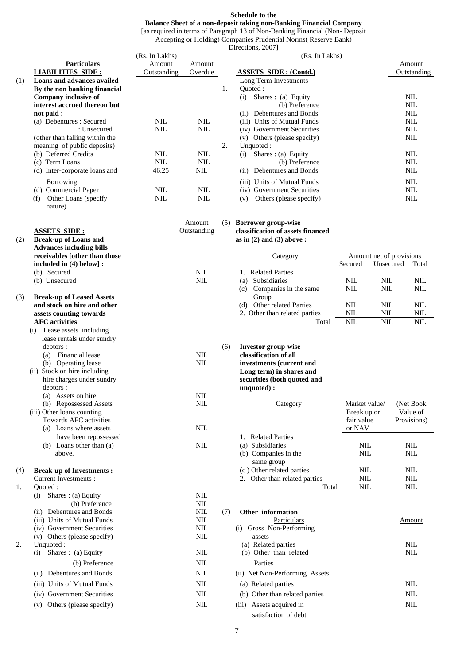#### **Schedule to the**

#### **Balance Sheet of a non-deposit taking non-Banking Financial Company**

[as required in terms of Paragraph 13 of Non-Banking Financial (Non- Deposit Accepting or Holding) Companies Prudential Norms( Reserve Bank)

Directions, 20071

|     |                                         |                |                       |     | $D$ IIUUIDIID, $\Delta U U U$                                   |                |                          |             |
|-----|-----------------------------------------|----------------|-----------------------|-----|-----------------------------------------------------------------|----------------|--------------------------|-------------|
|     |                                         | (Rs. In Lakhs) |                       |     |                                                                 | (Rs. In Lakhs) |                          |             |
|     | <b>Particulars</b>                      | Amount         | Amount                |     |                                                                 |                |                          | Amount      |
|     | <b>LIABILITIES SIDE:</b>                | Outstanding    | Overdue               |     | <b>ASSETS SIDE: (Contd.)</b>                                    |                |                          | Outstanding |
| (1) | <b>Loans and advances availed</b>       |                |                       |     | Long Term Investments                                           |                |                          |             |
|     | By the non banking financial            |                |                       | 1.  | Ouoted :                                                        |                |                          |             |
|     | Company inclusive of                    |                |                       |     | Shares: (a) Equity<br>(i)                                       |                |                          | <b>NIL</b>  |
|     | interest accrued thereon but            |                |                       |     | (b) Preference                                                  |                |                          | <b>NIL</b>  |
|     | not paid :                              |                |                       |     | Debentures and Bonds<br>(ii)                                    |                |                          | <b>NIL</b>  |
|     | (a) Debentures : Secured                | NII.           | <b>NIL</b>            |     | (iii) Units of Mutual Funds                                     |                |                          | <b>NIL</b>  |
|     | : Unsecured                             | <b>NIL</b>     | <b>NIL</b>            |     | (iv) Government Securities                                      |                |                          | <b>NIL</b>  |
|     | (other than falling within the          |                |                       |     | Others (please specify)<br>(v)                                  |                |                          | <b>NIL</b>  |
|     | meaning of public deposits)             |                |                       | 2.  | Unquoted:                                                       |                |                          |             |
|     | (b) Deferred Credits                    | NIL            | <b>NIL</b>            |     | Shares: (a) Equity<br>(i)                                       |                |                          | <b>NIL</b>  |
|     | (c) Term Loans                          | <b>NIL</b>     | <b>NIL</b>            |     | (b) Preference                                                  |                |                          | NIL         |
|     | (d) Inter-corporate loans and           | 46.25          | <b>NIL</b>            |     | Debentures and Bonds<br>(ii)                                    |                |                          | <b>NIL</b>  |
|     | Borrowing                               |                |                       |     | (iii) Units of Mutual Funds                                     |                |                          | <b>NIL</b>  |
|     | (d) Commercial Paper                    | <b>NIL</b>     | <b>NIL</b>            |     | (iv) Government Securities                                      |                |                          | <b>NIL</b>  |
|     | Other Loans (specify)<br>(f)<br>nature) | <b>NIL</b>     | <b>NIL</b>            |     | Others (please specify)<br>(v)                                  |                |                          | <b>NIL</b>  |
|     | <b>ASSETS SIDE:</b>                     |                | Amount<br>Outstanding | (5) | <b>Borrower group-wise</b><br>classification of assets financed |                |                          |             |
| (2) | <b>Break-up of Loans and</b>            |                |                       |     | as in $(2)$ and $(3)$ above:                                    |                |                          |             |
|     | <b>Advances including bills</b>         |                |                       |     |                                                                 |                |                          |             |
|     | receivables [other than those           |                |                       |     | Category                                                        |                | Amount net of provisions |             |
|     | included in $(4)$ below]:               |                |                       |     |                                                                 | Secured        | Unsecured                | Total       |
|     | (b) Secured                             |                | <b>NIL</b>            |     | <b>Related Parties</b><br>1.                                    |                |                          |             |
|     | (b) Unsecured                           |                | <b>NIL</b>            |     | Subsidiaries<br>(a)                                             | <b>NIL</b>     | <b>NIL</b>               | <b>NIL</b>  |
|     |                                         |                |                       |     | Companies in the same<br>(c)                                    | <b>NIL</b>     | NIL                      | NIL         |
| (3) | <b>Break-up of Leased Assets</b>        |                |                       |     | Group                                                           |                |                          |             |

#### and stock on hire and other assets counting towards **AFC** activities

| (i) | Lease assets including       |            |     |                             |           |
|-----|------------------------------|------------|-----|-----------------------------|-----------|
|     | lease rentals under sundry   |            |     |                             |           |
|     | debtors :                    |            | (6) | <b>Investor group-wise</b>  |           |
|     | Financial lease<br>(a)       | <b>NIL</b> |     | classification of all       |           |
|     | (b) Operating lease          | <b>NIL</b> |     | investments (current and    |           |
|     | (ii) Stock on hire including |            |     | Long term) in shares and    |           |
|     | hire charges under sundry    |            |     | securities (both quoted and |           |
|     | debtors :                    |            |     | unquoted):                  |           |
|     | Assets on hire<br>(a)        | <b>NIL</b> |     |                             |           |
|     | (b) Repossessed Assets       | <b>NIL</b> |     | Category                    | Market v  |
|     | (iii) Other loans counting   |            |     |                             | Break up  |
|     | Towards AFC activities       |            |     |                             | fair valu |
|     | (a) Loans where assets       | NIL.       |     |                             | or NAV    |
|     | have been repossessed        |            |     | 1. Related Parties          |           |
|     | Loans other than (a)<br>(b)  | <b>NIL</b> |     | (a) Subsidiaries            | NIL       |

|    | Current Investments :          |            | Other than related parties     | NIL        | NIL        |
|----|--------------------------------|------------|--------------------------------|------------|------------|
| 1. | Quoted :                       |            | Total                          | <b>NIL</b> | <b>NIL</b> |
|    | Shares : (a) Equity<br>(i)     | <b>NIL</b> |                                |            |            |
|    | (b) Preference                 | <b>NIL</b> |                                |            |            |
|    | Debentures and Bonds<br>(11)   | <b>NIL</b> | Other information<br>(7)       |            |            |
|    | (iii) Units of Mutual Funds    | <b>NIL</b> | Particulars                    |            | Amou       |
|    | (iv) Government Securities     | <b>NIL</b> | Gross Non-Performing<br>(1)    |            |            |
|    | Others (please specify)<br>(v) | <b>NIL</b> | assets                         |            |            |
| 2. | Unquoted :                     |            | (a) Related parties            |            | <b>NIL</b> |
|    | Shares : (a) Equity<br>(1)     | <b>NIL</b> | (b) Other than related         |            | <b>NIL</b> |
|    | (b) Preference                 | <b>NIL</b> | Parties                        |            |            |
|    | Debentures and Bonds<br>(ii)   | <b>NIL</b> | (ii) Net Non-Performing Assets |            |            |
|    | (iii) Units of Mutual Funds    | <b>NIL</b> | (a) Related parties            |            | <b>NIL</b> |
|    | (iv) Government Securities     | <b>NIL</b> | (b) Other than related parties |            | <b>NIL</b> |
|    | Others (please specify)<br>(v) | <b>NIL</b> | Assets acquired in<br>(iii)    |            | <b>NIL</b> |
|    |                                |            |                                |            |            |

|                | Category                      | Amount net of provisions |      |       |  |
|----------------|-------------------------------|--------------------------|------|-------|--|
|                |                               | Unsecured<br>Secured     |      | Total |  |
| $\mathbf{1}$ . | <b>Related Parties</b>        |                          |      |       |  |
| (a)            | Subsidiaries                  | NIL.                     | NIL. | NIL.  |  |
| (c)            | Companies in the same         | NIL                      | NIL. | NIL.  |  |
|                | Group                         |                          |      |       |  |
| (d)            | Other related Parties         | NIL.                     | NIL. | NIL.  |  |
|                | 2. Other than related parties | NIL.                     | NIL. | NIL   |  |
|                | Total                         | NIL.                     | NIL. | NIL.  |  |

|     | (b) Repossessed Assets<br>(iii) Other loans counting | NIL | Category                      | Market value/<br>Break up or | (Net Book)<br>Value of |
|-----|------------------------------------------------------|-----|-------------------------------|------------------------------|------------------------|
|     | Towards AFC activities<br>Loans where assets<br>(a)  | NIL |                               | fair value<br>or NAV         | Provisions)            |
|     | have been repossessed                                |     | <b>Related Parties</b>        |                              |                        |
|     | Loans other than (a)<br>(b)                          | NIL | (a) Subsidiaries              | NIL                          | NIL                    |
|     | above.                                               |     | (b) Companies in the          | NIL                          | NIL                    |
|     |                                                      |     | same group                    |                              |                        |
| (4) | <b>Break-up of Investments:</b>                      |     | (c) Other related parties     | NIL                          | NIL                    |
|     | Current Investments :                                |     | 2. Other than related parties | NIL                          | NIL                    |
|     | Ouoted :                                             |     | Total                         | NIL.                         | NIL.                   |

| (11)             | Debentures and Bonds        | NIL        | (7) | Other information              |            |
|------------------|-----------------------------|------------|-----|--------------------------------|------------|
|                  | (iii) Units of Mutual Funds | NIL        |     | Particulars                    | Amount     |
|                  | (iv) Government Securities  | <b>NIL</b> |     | Gross Non-Performing<br>(1)    |            |
| (v)              | Others (please specify)     | <b>NIL</b> |     | assets                         |            |
| 2.<br>Unquoted : |                             |            |     | (a) Related parties            | NIL        |
| (1)              | Shares : (a) Equity         | <b>NIL</b> |     | (b) Other than related         | NIL        |
|                  | (b) Preference              | <b>NIL</b> |     | Parties                        |            |
| (11)             | Debentures and Bonds        | NIL        |     | (ii) Net Non-Performing Assets |            |
|                  | (iii) Units of Mutual Funds | <b>NIL</b> |     | (a) Related parties            | <b>NIL</b> |
|                  | (iv) Government Securities  | <b>NIL</b> |     | (b) Other than related parties | <b>NIL</b> |
| (v)              | Others (please specify)     | <b>NIL</b> |     | (iii) Assets acquired in       | NIL        |
|                  |                             |            |     | satisfaction of debt           |            |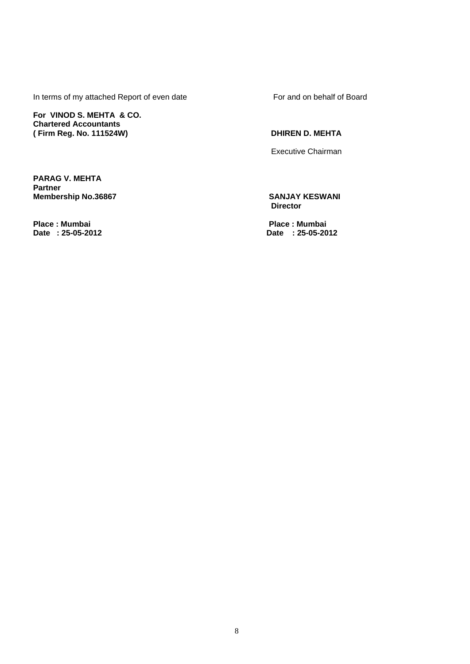In terms of my attached Report of even date For and on behalf of Board

**For VINOD S. MEHTA & CO. Chartered Accountants**  (Firm Reg. No. 111524W) **DHIREN D. MEHTA** 

Executive Chairman

**PARAG V. MEHTA Partner Membership No.36867** SANJAY KESWANI

**Place : Mumbai Place : Mumbai** 

 **Director** 

**Date : 25-05-2012 Date : 25-05-2012**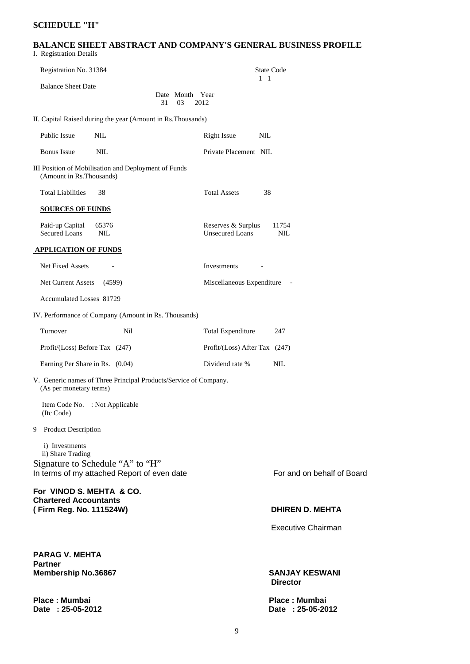#### **SCHEDULE "H"**

#### **BALANCE SHEET ABSTRACT AND COMPANY'S GENERAL BUSINESS PROFILE**  I. Registration Details

| Registration No. 31384                                                                      | <b>State Code</b>                                            |
|---------------------------------------------------------------------------------------------|--------------------------------------------------------------|
| <b>Balance Sheet Date</b><br>Date Month Year<br>31<br>03                                    | $1\quad1$<br>2012                                            |
| II. Capital Raised during the year (Amount in Rs. Thousands)                                |                                                              |
| Public Issue<br><b>NIL</b>                                                                  | <b>Right Issue</b><br>NIL                                    |
| <b>Bonus</b> Issue<br><b>NIL</b>                                                            | Private Placement NIL                                        |
| III Position of Mobilisation and Deployment of Funds<br>(Amount in Rs. Thousands)           |                                                              |
| <b>Total Liabilities</b><br>38                                                              | <b>Total Assets</b><br>38                                    |
| <b>SOURCES OF FUNDS</b>                                                                     |                                                              |
| Paid-up Capital<br>65376<br><b>Secured Loans</b><br>NIL                                     | Reserves & Surplus<br>11754<br><b>Unsecured Loans</b><br>NIL |
| <b>APPLICATION OF FUNDS</b>                                                                 |                                                              |
| Net Fixed Assets                                                                            | Investments                                                  |
| Net Current Assets<br>(4599)                                                                | Miscellaneous Expenditure                                    |
| <b>Accumulated Losses 81729</b>                                                             |                                                              |
| IV. Performance of Company (Amount in Rs. Thousands)                                        |                                                              |
| Turnover<br>Nil                                                                             | <b>Total Expenditure</b><br>247                              |
| Profit/(Loss) Before Tax (247)                                                              | Profit/(Loss) After Tax (247)                                |
| Earning Per Share in Rs. (0.04)                                                             | Dividend rate %<br><b>NIL</b>                                |
| V. Generic names of Three Principal Products/Service of Company.<br>(As per monetary terms) |                                                              |
| Item Code No. : Not Applicable<br>(Itc Code)                                                |                                                              |
| 9 Product Description                                                                       |                                                              |
| i) Investments<br>ii) Share Trading<br>Signature to Schedule "A" to "H"                     |                                                              |
| In terms of my attached Report of even date                                                 | For and on behalf of Board                                   |
| For VINOD S. MEHTA & CO.<br><b>Chartered Accountants</b><br>(Firm Reg. No. 111524W)         | <b>DHIREN D. MEHTA</b>                                       |
|                                                                                             | Executive Chairman                                           |
|                                                                                             |                                                              |
| <b>PARAG V. MEHTA</b>                                                                       |                                                              |
| Partner<br><b>Membership No.36867</b>                                                       | <b>SANJAY KESWANI</b><br><b>Director</b>                     |
| Place: Mumbai<br>Date: 25-05-2012                                                           | Place: Mumbai<br>Date: 25-05-2012                            |